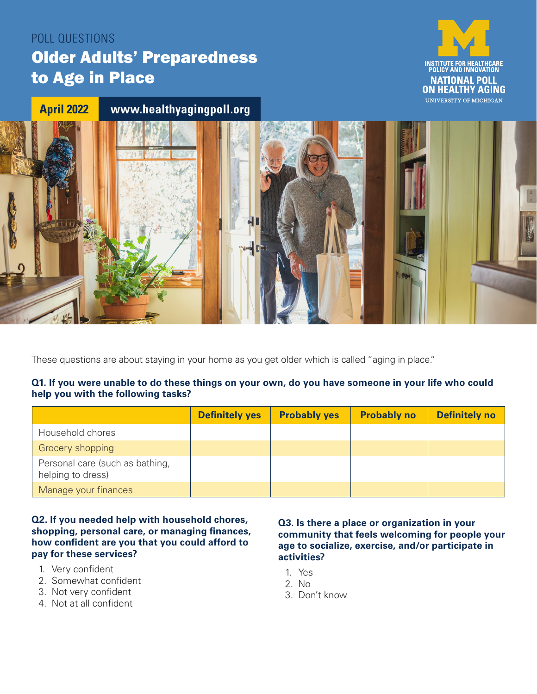# POLL QUESTIONS Older Adults' Preparedness to Age in Place



# **April 2022 [www.healthyagingpoll.org](https://www.healthyagingpoll.org/)**



These questions are about staying in your home as you get older which is called "aging in place."

#### **Q1. If you were unable to do these things on your own, do you have someone in your life who could help you with the following tasks?**

|                                                      | <b>Definitely yes</b> | <b>Probably yes</b> | <b>Probably no</b> | <b>Definitely no</b> |
|------------------------------------------------------|-----------------------|---------------------|--------------------|----------------------|
| Household chores                                     |                       |                     |                    |                      |
| Grocery shopping                                     |                       |                     |                    |                      |
| Personal care (such as bathing,<br>helping to dress) |                       |                     |                    |                      |
| Manage your finances                                 |                       |                     |                    |                      |

#### **Q2. If you needed help with household chores, shopping, personal care, or managing finances, how confident are you that you could afford to pay for these services?**

- 1. Very confident
- 2. Somewhat confident
- 3. Not very confident
- 4. Not at all confident

#### **Q3. Is there a place or organization in your community that feels welcoming for people your age to socialize, exercise, and/or participate in activities?**

- 1. Yes
- 2. No
- 3. Don't know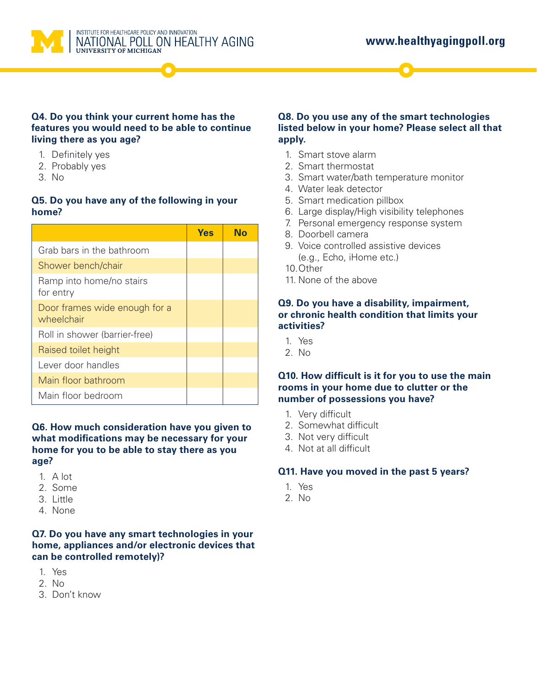

INSTITUTE FOR HEALTHCARE POLICY AND INNOVATION NATIONAL POLL ON HEALTHY AGING

#### **Q4. Do you think your current home has the features you would need to be able to continue living there as you age?**

- 1. Definitely yes
- 2. Probably yes
- 3. No

#### **Q5. Do you have any of the following in your home?**

|                                             | Yes | N٥ |
|---------------------------------------------|-----|----|
| Grab bars in the bathroom                   |     |    |
| Shower bench/chair                          |     |    |
| Ramp into home/no stairs<br>for entry       |     |    |
| Door frames wide enough for a<br>wheelchair |     |    |
| Roll in shower (barrier-free)               |     |    |
| Raised toilet height                        |     |    |
| Lever door handles                          |     |    |
| Main floor bathroom                         |     |    |
| Main floor bedroom                          |     |    |

#### **Q6. How much consideration have you given to what modifications may be necessary for your home for you to be able to stay there as you age?**

- 1. A lot
- 2. Some
- 3. Little
- 4. None

#### **Q7. Do you have any smart technologies in your home, appliances and/or electronic devices that can be controlled remotely)?**

- 1. Yes
- 2. No
- 3. Don't know

### **Q8. Do you use any of the smart technologies listed below in your home? Please select all that apply.**

- 1. Smart stove alarm
- 2. Smart thermostat
- 3. Smart water/bath temperature monitor
- 4. Water leak detector
- 5. Smart medication pillbox
- 6. Large display/High visibility telephones
- 7. Personal emergency response system
- 8. Doorbell camera
- 9. Voice controlled assistive devices (e.g., Echo, iHome etc.)
- 10.Other
- 11. None of the above

#### **Q9. Do you have a disability, impairment, or chronic health condition that limits your activities?**

- 1. Yes
- 2. No

#### **Q10. How difficult is it for you to use the main rooms in your home due to clutter or the number of possessions you have?**

- 1. Very difficult
- 2. Somewhat difficult
- 3. Not very difficult
- 4. Not at all difficult

### **Q11. Have you moved in the past 5 years?**

- 1. Yes
- 2. No